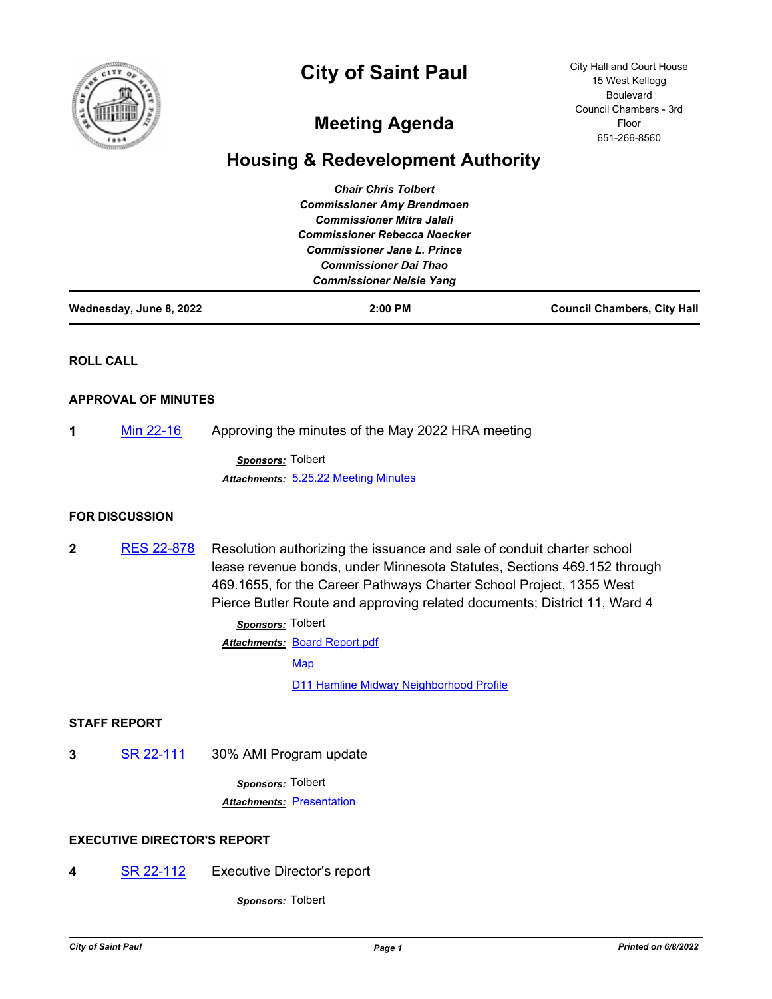

# **City of Saint Paul**

15 West Kellogg Boulevard Council Chambers - 3rd 651-266-8560

City Hall and Court House

Floor

# **Meeting Agenda**

## **Housing & Redevelopment Authority**

|                         | <b>Chair Chris Tolbert</b>          |                                    |
|-------------------------|-------------------------------------|------------------------------------|
|                         | <b>Commissioner Amy Brendmoen</b>   |                                    |
|                         | <b>Commissioner Mitra Jalali</b>    |                                    |
|                         | <b>Commissioner Rebecca Noecker</b> |                                    |
|                         | <b>Commissioner Jane L. Prince</b>  |                                    |
|                         | <b>Commissioner Dai Thao</b>        |                                    |
|                         | <b>Commissioner Nelsie Yang</b>     |                                    |
| Wednesday, June 8, 2022 | $2:00$ PM                           | <b>Council Chambers, City Hall</b> |
| <b>ROLL CALL</b>        |                                     |                                    |
|                         |                                     |                                    |
| APPROVAL OF MINUTES     |                                     |                                    |

**1** [Min 22-16](http://stpaul.legistar.com/gateway.aspx?m=l&id=/matter.aspx?key=41962) Approving the minutes of the May 2022 HRA meeting

*Sponsors:* Tolbert *Attachments:* [5.25.22 Meeting Minutes](http://StPaul.legistar.com/gateway.aspx?M=F&ID=ba526402-f77a-4870-81e1-d96ea86aa52b.pdf)

### **FOR DISCUSSION**

**2** [RES 22-878](http://stpaul.legistar.com/gateway.aspx?m=l&id=/matter.aspx?key=41963) Resolution authorizing the issuance and sale of conduit charter school lease revenue bonds, under Minnesota Statutes, Sections 469.152 through 469.1655, for the Career Pathways Charter School Project, 1355 West Pierce Butler Route and approving related documents; District 11, Ward 4

> *Sponsors:* Tolbert **Attachments: [Board Report.pdf](http://StPaul.legistar.com/gateway.aspx?M=F&ID=4ee3f200-4222-4655-8ed0-0bc8b5a8ad96.pdf)** [Map](http://StPaul.legistar.com/gateway.aspx?M=F&ID=8ef6a13a-74e6-42d7-a6bf-d591788df688.pdf) [D11 Hamline Midway Neighborhood Profile](http://StPaul.legistar.com/gateway.aspx?M=F&ID=f9d59f58-1fb0-43e2-a4fa-06069b687cc7.pdf)

#### **STAFF REPORT**

**3** [SR 22-111](http://stpaul.legistar.com/gateway.aspx?m=l&id=/matter.aspx?key=41968) 30% AMI Program update

*Sponsors:* Tolbert **Attachments: [Presentation](http://StPaul.legistar.com/gateway.aspx?M=F&ID=71cee400-9419-456d-aabc-b144cb2e5acd.pdf)** 

#### **EXECUTIVE DIRECTOR'S REPORT**

**4** [SR 22-112](http://stpaul.legistar.com/gateway.aspx?m=l&id=/matter.aspx?key=41969) Executive Director's report

*Sponsors:* Tolbert